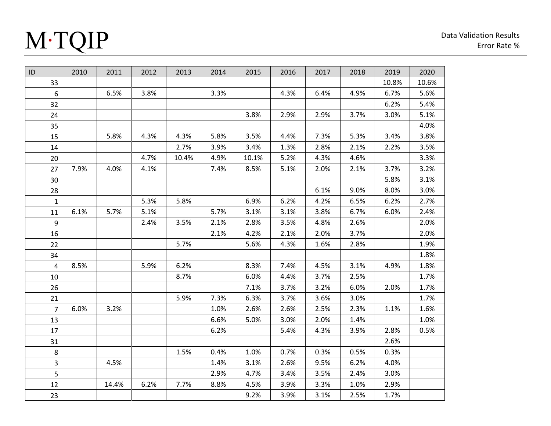## M∙TQIP

| ID               | 2010 | 2011  | 2012 | 2013  | 2014 | 2015  | 2016 | 2017 | 2018 | 2019  | 2020  |
|------------------|------|-------|------|-------|------|-------|------|------|------|-------|-------|
| 33               |      |       |      |       |      |       |      |      |      | 10.8% | 10.6% |
| $\boldsymbol{6}$ |      | 6.5%  | 3.8% |       | 3.3% |       | 4.3% | 6.4% | 4.9% | 6.7%  | 5.6%  |
| 32               |      |       |      |       |      |       |      |      |      | 6.2%  | 5.4%  |
| 24               |      |       |      |       |      | 3.8%  | 2.9% | 2.9% | 3.7% | 3.0%  | 5.1%  |
| 35               |      |       |      |       |      |       |      |      |      |       | 4.0%  |
| 15               |      | 5.8%  | 4.3% | 4.3%  | 5.8% | 3.5%  | 4.4% | 7.3% | 5.3% | 3.4%  | 3.8%  |
| 14               |      |       |      | 2.7%  | 3.9% | 3.4%  | 1.3% | 2.8% | 2.1% | 2.2%  | 3.5%  |
| 20               |      |       | 4.7% | 10.4% | 4.9% | 10.1% | 5.2% | 4.3% | 4.6% |       | 3.3%  |
| 27               | 7.9% | 4.0%  | 4.1% |       | 7.4% | 8.5%  | 5.1% | 2.0% | 2.1% | 3.7%  | 3.2%  |
| 30               |      |       |      |       |      |       |      |      |      | 5.8%  | 3.1%  |
| 28               |      |       |      |       |      |       |      | 6.1% | 9.0% | 8.0%  | 3.0%  |
| $\mathbf{1}$     |      |       | 5.3% | 5.8%  |      | 6.9%  | 6.2% | 4.2% | 6.5% | 6.2%  | 2.7%  |
| 11               | 6.1% | 5.7%  | 5.1% |       | 5.7% | 3.1%  | 3.1% | 3.8% | 6.7% | 6.0%  | 2.4%  |
| 9                |      |       | 2.4% | 3.5%  | 2.1% | 2.8%  | 3.5% | 4.8% | 2.6% |       | 2.0%  |
| 16               |      |       |      |       | 2.1% | 4.2%  | 2.1% | 2.0% | 3.7% |       | 2.0%  |
| 22               |      |       |      | 5.7%  |      | 5.6%  | 4.3% | 1.6% | 2.8% |       | 1.9%  |
| 34               |      |       |      |       |      |       |      |      |      |       | 1.8%  |
| $\overline{4}$   | 8.5% |       | 5.9% | 6.2%  |      | 8.3%  | 7.4% | 4.5% | 3.1% | 4.9%  | 1.8%  |
| 10               |      |       |      | 8.7%  |      | 6.0%  | 4.4% | 3.7% | 2.5% |       | 1.7%  |
| 26               |      |       |      |       |      | 7.1%  | 3.7% | 3.2% | 6.0% | 2.0%  | 1.7%  |
| 21               |      |       |      | 5.9%  | 7.3% | 6.3%  | 3.7% | 3.6% | 3.0% |       | 1.7%  |
| $\overline{7}$   | 6.0% | 3.2%  |      |       | 1.0% | 2.6%  | 2.6% | 2.5% | 2.3% | 1.1%  | 1.6%  |
| 13               |      |       |      |       | 6.6% | 5.0%  | 3.0% | 2.0% | 1.4% |       | 1.0%  |
| 17               |      |       |      |       | 6.2% |       | 5.4% | 4.3% | 3.9% | 2.8%  | 0.5%  |
| 31               |      |       |      |       |      |       |      |      |      | 2.6%  |       |
| 8                |      |       |      | 1.5%  | 0.4% | 1.0%  | 0.7% | 0.3% | 0.5% | 0.3%  |       |
| 3                |      | 4.5%  |      |       | 1.4% | 3.1%  | 2.6% | 9.5% | 6.2% | 4.0%  |       |
| 5                |      |       |      |       | 2.9% | 4.7%  | 3.4% | 3.5% | 2.4% | 3.0%  |       |
| 12               |      | 14.4% | 6.2% | 7.7%  | 8.8% | 4.5%  | 3.9% | 3.3% | 1.0% | 2.9%  |       |
| 23               |      |       |      |       |      | 9.2%  | 3.9% | 3.1% | 2.5% | 1.7%  |       |